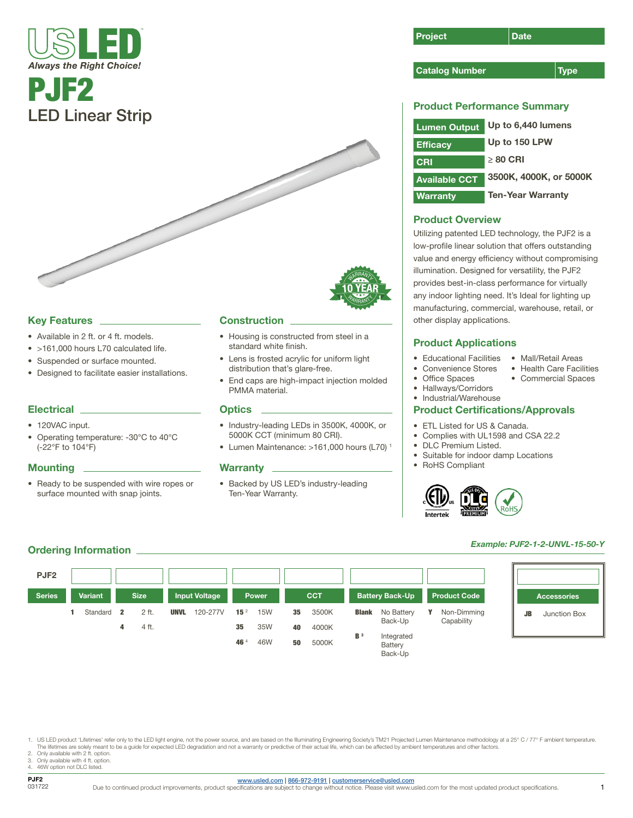# PJF2 LED Linear Strip

#### Key Features

- Available in 2 ft. or 4 ft. models.
- >161,000 hours L70 calculated life.
- Suspended or surface mounted.
- Designed to facilitate easier installations.

#### **Electrical**

- 120VAC input.
- Operating temperature: -30°C to 40°C (-22°F to 104°F)

#### **Mounting**

• Ready to be suspended with wire ropes or surface mounted with snap joints.

#### **Construction**

- Housing is constructed from steel in a standard white finish.
- Lens is frosted acrylic for uniform light distribution that's glare-free.
- End caps are high-impact injection molded PMMA material.

WARRANTY

**WARRANT** 

#### **Optics**

- Industry-leading LEDs in 3500K, 4000K, or 5000K CCT (minimum 80 CRI).
- Lumen Maintenance: >161,000 hours (L70) 1

#### **Warranty**

• Backed by US LED's industry-leading Ten-Year Warranty.

| Project | Date |
|---------|------|
|         |      |

#### Catalog Number 70 Type

#### Product Performance Summary

| <b>Lumen Output</b>  | Up to 6,440 lumens       |
|----------------------|--------------------------|
| <b>Efficacy</b>      | Up to 150 LPW            |
| CRI                  | $>80$ CRI                |
| <b>Available CCT</b> | 3500K, 4000K, or 5000K   |
| <b>Warranty</b>      | <b>Ten-Year Warranty</b> |

### Product Overview

Utilizing patented LED technology, the PJF2 is a low-profile linear solution that offers outstanding value and energy efficiency without compromising illumination. Designed for versatility, the PJF2 provides best-in-class performance for virtually any indoor lighting need. It's Ideal for lighting up manufacturing, commercial, warehouse, retail, or other display applications.

#### Product Applications

- Educational Facilities
- Convenience Stores
- Health Care Facilities • Commercial Spaces

• Mall/Retail Areas

• Hallways/Corridors

• Office Spaces

• Industrial/Warehouse

#### Product Certifications/Approvals

- ETL Listed for US & Canada.
- Complies with UL1598 and CSA 22.2
- DLC Premium Listed.
- Suitable for indoor damp Locations
- RoHS Compliant



## *Example: PJF2-1-2-UNVL-15-50-Y*



1. US LED product 'Lifetimes' refer only to the LED light engine, not the power source, and are based on the Illuminating Engineering Society's TM21 Projected Lumen Maintenance methodology at a 25° C / 77° F ambient temper The lifetimes are solely meant to be a guide for expected LED degradation and not a warranty or predictive of their actual life, which can be affected by ambient temperatures and other factors.

Ordering Information

- 2. Only available with 2 ft. option.<br>3. Only available with 4 ft. option.
- 3. Only available with 4 ft. option. 4. 46W option not DLC listed.
- 

#### [www.usled.com](http://www.usled.com) | [866-972-9191](tel:866-972-9191) | [customerservice@usled.com](mailto:customerservice%40usled.com?subject=)

Due to continued product improvements, product specifications are subject to change without notice. Please visit www.usled.com for the most updated product specifications.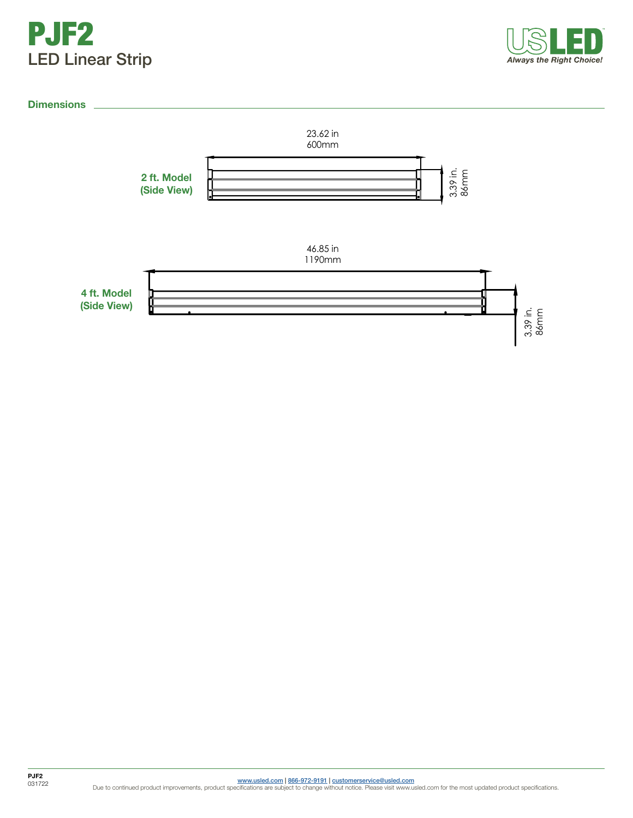